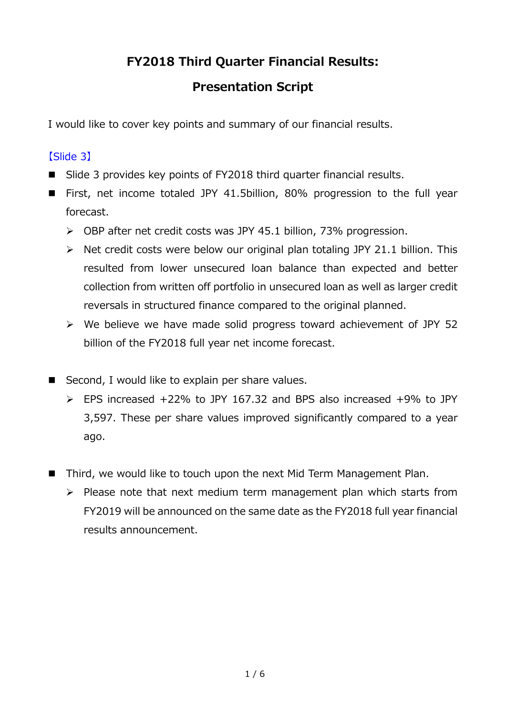# **FY2018 Third Quarter Financial Results:**

# **Presentation Script**

I would like to cover key points and summary of our financial results.

# 【Slide 3】

- Slide 3 provides key points of FY2018 third quarter financial results.
- First, net income totaled JPY 41.5billion, 80% progression to the full year forecast.
	- OBP after net credit costs was JPY 45.1 billion, 73% progression.
	- $\triangleright$  Net credit costs were below our original plan totaling JPY 21.1 billion. This resulted from lower unsecured loan balance than expected and better collection from written off portfolio in unsecured loan as well as larger credit reversals in structured finance compared to the original planned.
	- $\triangleright$  We believe we have made solid progress toward achievement of JPY 52 billion of the FY2018 full year net income forecast.
- Second, I would like to explain per share values.
	- $\triangleright$  EPS increased +22% to JPY 167.32 and BPS also increased +9% to JPY 3,597. These per share values improved significantly compared to a year ago.
- Third, we would like to touch upon the next Mid Term Management Plan.
	- $\triangleright$  Please note that next medium term management plan which starts from FY2019 will be announced on the same date as the FY2018 full year financial results announcement.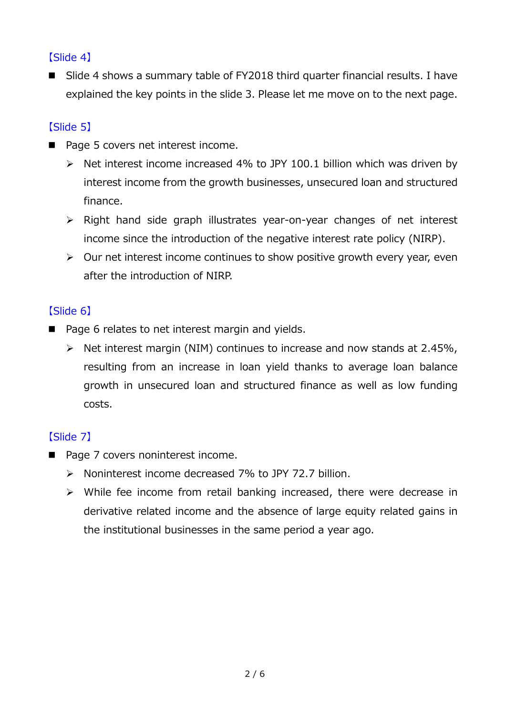## 【Slide 4】

■ Slide 4 shows a summary table of FY2018 third quarter financial results. I have explained the key points in the slide 3. Please let me move on to the next page.

# 【Slide 5】

- Page 5 covers net interest income.
	- $\triangleright$  Net interest income increased 4% to JPY 100.1 billion which was driven by interest income from the growth businesses, unsecured loan and structured finance.
	- $\triangleright$  Right hand side graph illustrates year-on-year changes of net interest income since the introduction of the negative interest rate policy (NIRP).
	- $\triangleright$  Our net interest income continues to show positive growth every year, even after the introduction of NIRP.

#### 【Slide 6】

- Page 6 relates to net interest margin and yields.
	- $\triangleright$  Net interest margin (NIM) continues to increase and now stands at 2.45%, resulting from an increase in loan yield thanks to average loan balance growth in unsecured loan and structured finance as well as low funding costs.

## 【Slide 7】

- Page 7 covers noninterest income.
	- $\triangleright$  Noninterest income decreased 7% to JPY 72.7 billion.
	- $\triangleright$  While fee income from retail banking increased, there were decrease in derivative related income and the absence of large equity related gains in the institutional businesses in the same period a year ago.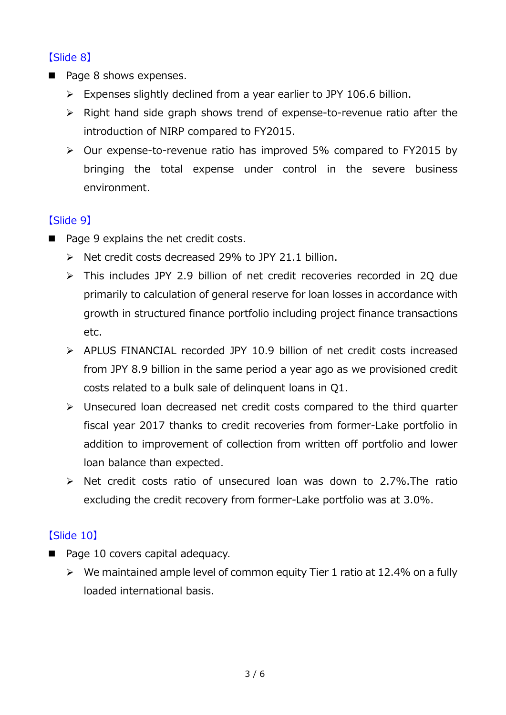## 【Slide 8】

- Page 8 shows expenses.
	- $\triangleright$  Expenses slightly declined from a year earlier to JPY 106.6 billion.
	- $\triangleright$  Right hand side graph shows trend of expense-to-revenue ratio after the introduction of NIRP compared to FY2015.
	- $\triangleright$  Our expense-to-revenue ratio has improved 5% compared to FY2015 by bringing the total expense under control in the severe business environment.

## 【Slide 9】

- Page 9 explains the net credit costs.
	- $\triangleright$  Net credit costs decreased 29% to JPY 21.1 billion.
	- This includes JPY 2.9 billion of net credit recoveries recorded in 2Q due primarily to calculation of general reserve for loan losses in accordance with growth in structured finance portfolio including project finance transactions etc.
	- APLUS FINANCIAL recorded JPY 10.9 billion of net credit costs increased from JPY 8.9 billion in the same period a year ago as we provisioned credit costs related to a bulk sale of delinquent loans in Q1.
	- $\triangleright$  Unsecured loan decreased net credit costs compared to the third quarter fiscal year 2017 thanks to credit recoveries from former-Lake portfolio in addition to improvement of collection from written off portfolio and lower loan balance than expected.
	- $\triangleright$  Net credit costs ratio of unsecured loan was down to 2.7%. The ratio excluding the credit recovery from former-Lake portfolio was at 3.0%.

## 【Slide 10】

- Page 10 covers capital adequacy.
	- $\triangleright$  We maintained ample level of common equity Tier 1 ratio at 12.4% on a fully loaded international basis.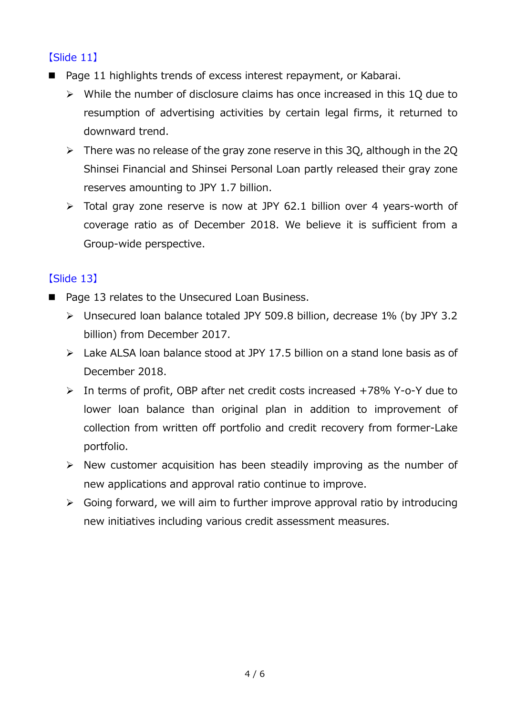#### 【Slide 11】

- Page 11 highlights trends of excess interest repayment, or Kabarai.
	- $\triangleright$  While the number of disclosure claims has once increased in this 1Q due to resumption of advertising activities by certain legal firms, it returned to downward trend.
	- $\triangleright$  There was no release of the gray zone reserve in this 3Q, although in the 2Q Shinsei Financial and Shinsei Personal Loan partly released their gray zone reserves amounting to JPY 1.7 billion.
	- Total gray zone reserve is now at JPY 62.1 billion over 4 years-worth of coverage ratio as of December 2018. We believe it is sufficient from a Group-wide perspective.

## 【Slide 13】

- Page 13 relates to the Unsecured Loan Business.
	- Unsecured loan balance totaled JPY 509.8 billion, decrease 1% (by JPY 3.2 billion) from December 2017.
	- Lake ALSA loan balance stood at JPY 17.5 billion on a stand lone basis as of December 2018.
	- In terms of profit, OBP after net credit costs increased +78% Y-o-Y due to lower loan balance than original plan in addition to improvement of collection from written off portfolio and credit recovery from former-Lake portfolio.
	- $\triangleright$  New customer acquisition has been steadily improving as the number of new applications and approval ratio continue to improve.
	- $\triangleright$  Going forward, we will aim to further improve approval ratio by introducing new initiatives including various credit assessment measures.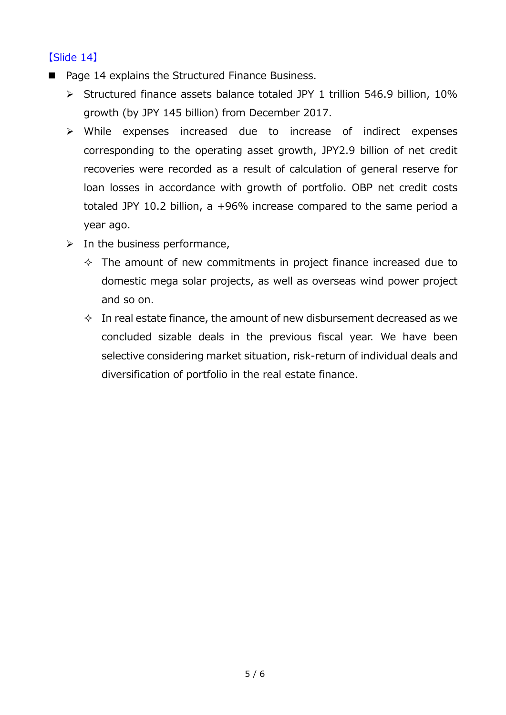#### 【Slide 14】

- Page 14 explains the Structured Finance Business.
	- Structured finance assets balance totaled JPY 1 trillion 546.9 billion, 10% growth (by JPY 145 billion) from December 2017.
	- While expenses increased due to increase of indirect expenses corresponding to the operating asset growth, JPY2.9 billion of net credit recoveries were recorded as a result of calculation of general reserve for loan losses in accordance with growth of portfolio. OBP net credit costs totaled JPY 10.2 billion, a +96% increase compared to the same period a year ago.
	- $\triangleright$  In the business performance,
		- $\Diamond$  The amount of new commitments in project finance increased due to domestic mega solar projects, as well as overseas wind power project and so on.
		- $\Diamond$  In real estate finance, the amount of new disbursement decreased as we concluded sizable deals in the previous fiscal year. We have been selective considering market situation, risk-return of individual deals and diversification of portfolio in the real estate finance.